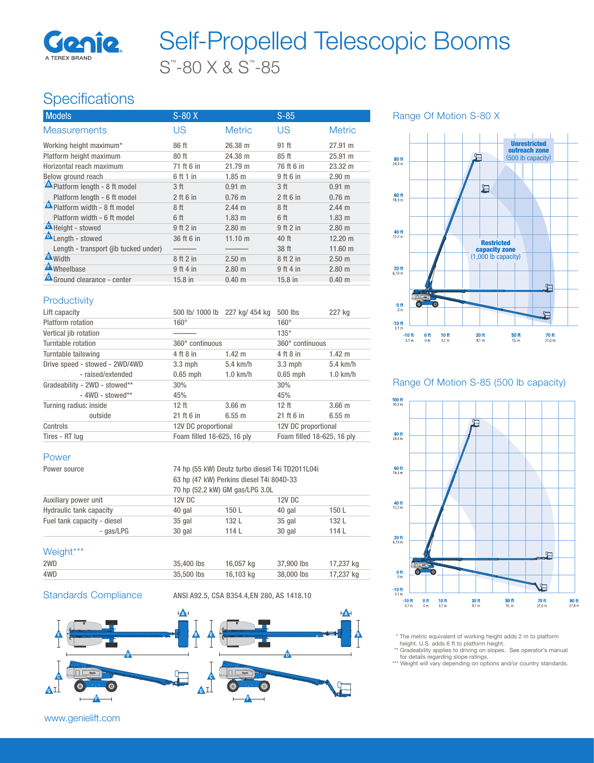

## S™ -80 X & S™ -85 Self-Propelled Telescopic Booms

## **Specifications**

| <b>Models</b>                         | $S-80X$         |                   | $S-85$          |                   |
|---------------------------------------|-----------------|-------------------|-----------------|-------------------|
| <b>Measurements</b>                   | US              | <b>Metric</b>     | US              | <b>Metric</b>     |
| Working height maximum*               | 86 ft           | 26.38 m           | 91 ft           | $27.91 \text{ m}$ |
| Platform height maximum               | 80 ft           | 24.38 m           | 85 ft           | 25.91 m           |
| Horizontal reach maximum              | 71 ft 6 in      | 21.79 m           | 76 ft 6 in      | $23.32 \text{ m}$ |
| Below ground reach                    | 6 ft 1 in       | $1.85$ m          | 9 ft 6 in       | 2.90 <sub>m</sub> |
| A Platform length - 8 ft model        | 3 ft            | $0.91 \text{ m}$  | 3 <sub>ft</sub> | $0.91 \text{ m}$  |
| Platform length - 6 ft model          | $2$ ft 6 in     | $0.76$ m          | $2$ ft 6 in     | $0.76$ m          |
| <b>A</b> Platform width - 8 ft model  | 8 <sup>ft</sup> | $2.44 \text{ m}$  | 8 ft            | $2.44 \text{ m}$  |
| Platform width - 6 ft model           | 6 ft            | 1.83 <sub>m</sub> | 6 ft            | $1.83$ m          |
| Height - stowed                       | 9 ft 2 in       | 2.80 m            | 9 ft 2 in       | $2.80$ m          |
| <b>A</b> Length - stowed              | 36 ft 6 in      | $11.10 \text{ m}$ | 40 ft           | $12.20 \text{ m}$ |
| Length - transport (jib tucked under) |                 |                   | 38 ft           | $11.60 \text{ m}$ |
| A <sub>Width</sub>                    | 8 ft 2 in       | 2.50 <sub>m</sub> | 8 ft 2 in       | 2.50 <sub>m</sub> |
| <b>A</b> Wheelbase                    | 9 ft 4 in       | $2.80$ m          | 9 ft 4 in       | $2.80$ m          |
| Ground clearance - center             | 15.8 in         | $0.40 \;{\rm m}$  | 15.8 in         | $0.40 \text{ m}$  |

### Range Of Motion S-80 X



#### **Productivity**

Power

Weight\*\*\*

| Lift capacity                  | 500 lb/ 1000 lb 227 kg/ 454 kg |             | 500 lbs                    | 227 kg           |
|--------------------------------|--------------------------------|-------------|----------------------------|------------------|
| Platform rotation              | $160^\circ$                    |             | $160^\circ$                |                  |
| Vertical jib rotation          |                                |             | $135^\circ$                |                  |
| Turntable rotation             | 360° continuous                |             | 360° continuous            |                  |
| Turntable tailswing            | 4 ft 8 in                      | $1.42 \; m$ | 4 ft 8 in                  | $1.42 \text{ m}$ |
| Drive speed - stowed - 2WD/4WD | $3.3 \text{ mph}$              | $5.4$ km/h  | $3.3 \text{ mph}$          | $5.4$ km/h       |
| - raised/extended              | $0.65$ mph                     | $1.0$ km/h  | $0.65$ mph                 | $1.0$ km/h       |
| Gradeability - 2WD - stowed**  | 30%                            |             | 30%                        |                  |
| $-$ 4WD - stowed**             | 45%                            |             | 45%                        |                  |
| Turning radius: inside         | 12 <sub>ft</sub>               | $3.66$ m    | 12 <sub>ft</sub>           | $3.66$ m         |
| outside                        | 21 ft 6 in                     | 6.55 m      | 21 ft 6 in                 | 6.55 m           |
| Controls                       | 12V DC proportional            |             | 12V DC proportional        |                  |
| Tires - RT lug                 | Foam filled 18-625, 16 ply     |             | Foam filled 18-625, 16 ply |                  |

Power source TA hp (55 kW) Deutz turbo diesel T4i TD2011L04i

Hydraulic tank capacity **40 gal** 150 L 40 gal 150 L<br>
Fuel tank capacity - diesel 35 gal 132 L 35 gal 132 L

- gas/LPG 30 gal 114 L 30 gal 114 L

2WD 35,400 lbs 16,057 kg 37,900 lbs 17,237 kg

Auxiliary power unit 12V DC 12V DC

Fuel tank capacity - diesel 35 gal 132 L 35 gal

#### Range Of Motion S-85 (500 lb capacity)



 \* The metric equivalent of working height adds 2 m to platform height. U.S. adds 6 ft to platform height.

\*\* Gradeability applies to driving on slopes. See operator's manual<br>for details regarding slope ratings.<br>\*\*\* Weight will vary depending on options and/or country standards.

www.genielift.com



63 hp (47 kW) Perkins diesel T4i 804D-33 70 hp (52.2 kW) GM gas/LPG 3.0L

#### Standards Compliance ANSI A92.5, CSA B354.4, EN 280, AS 1418.10